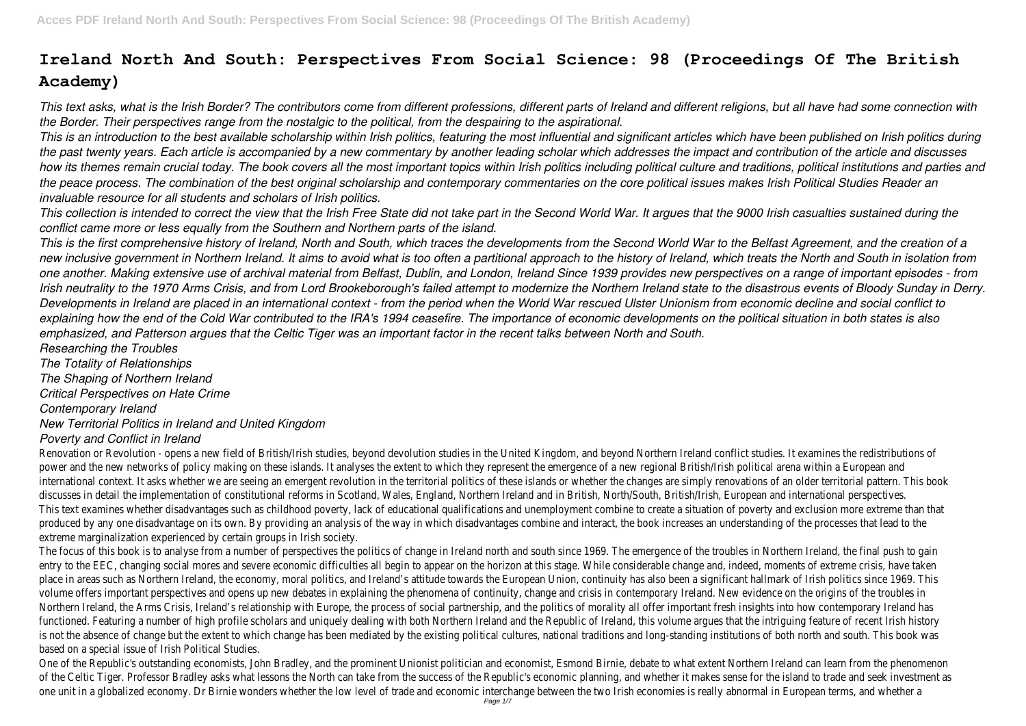# **Ireland North And South: Perspectives From Social Science: 98 (Proceedings Of The British Academy)**

*This text asks, what is the Irish Border? The contributors come from different professions, different parts of Ireland and different religions, but all have had some connection with the Border. Their perspectives range from the nostalgic to the political, from the despairing to the aspirational.*

*This is an introduction to the best available scholarship within Irish politics, featuring the most influential and significant articles which have been published on Irish politics during the past twenty years. Each article is accompanied by a new commentary by another leading scholar which addresses the impact and contribution of the article and discusses how its themes remain crucial today. The book covers all the most important topics within Irish politics including political culture and traditions, political institutions and parties and the peace process. The combination of the best original scholarship and contemporary commentaries on the core political issues makes Irish Political Studies Reader an invaluable resource for all students and scholars of Irish politics.*

*This collection is intended to correct the view that the Irish Free State did not take part in the Second World War. It argues that the 9000 Irish casualties sustained during the conflict came more or less equally from the Southern and Northern parts of the island.*

*This is the first comprehensive history of Ireland, North and South, which traces the developments from the Second World War to the Belfast Agreement, and the creation of a new inclusive government in Northern Ireland. It aims to avoid what is too often a partitional approach to the history of Ireland, which treats the North and South in isolation from one another. Making extensive use of archival material from Belfast, Dublin, and London, Ireland Since 1939 provides new perspectives on a range of important episodes - from Irish neutrality to the 1970 Arms Crisis, and from Lord Brookeborough's failed attempt to modernize the Northern Ireland state to the disastrous events of Bloody Sunday in Derry. Developments in Ireland are placed in an international context - from the period when the World War rescued Ulster Unionism from economic decline and social conflict to explaining how the end of the Cold War contributed to the IRA's 1994 ceasefire. The importance of economic developments on the political situation in both states is also emphasized, and Patterson argues that the Celtic Tiger was an important factor in the recent talks between North and South.*

*Researching the Troubles The Totality of Relationships The Shaping of Northern Ireland*

*Critical Perspectives on Hate Crime*

The focus of this book is to analyse from a number of perspectives the politics of change in Ireland north and south since 1969. The emergence of the troubles in Northern Ireland, the final push to gain entry to the EEC, changing social mores and severe economic difficulties all begin to appear on the horizon at this stage. While considerable change and, indeed, moments of extreme crisis, have taken place in areas such as Northern Ireland, the economy, moral politics, and Ireland's attitude towards the European Union, continuity has also been a significant hallmark of Irish politics since 1969. This volume offers important perspectives and opens up new debates in explaining the phenomena of continuity, change and crisis in contemporary Ireland. New evidence on the origins of the troubles in Northern Ireland, the Arms Crisis, Ireland's relationship with Europe, the process of social partnership, and the politics of morality all offer important fresh insights into how contemporary Ireland has functioned. Featuring a number of high profile scholars and uniquely dealing with both Northern Ireland and the Republic of Ireland, this volume argues that the intriguing feature of recent Irish history is not the absence of change but the extent to which change has been mediated by the existing political cultures, national traditions and long-standing institutions of both north and south. This book was based on a special issue of Irish Political Studies.

*Contemporary Ireland*

## *New Territorial Politics in Ireland and United Kingdom*

### *Poverty and Conflict in Ireland*

One of the Republic's outstanding economists, John Bradley, and the prominent Unionist politician and economist, Esmond Birnie, debate to what extent Northern Ireland can learn from the phenomenon of the Celtic Tiger. Professor Bradley asks what lessons the North can take from the success of the Republic's economic planning, and whether it makes sense for the island to trade and seek investment as one unit in a globalized economy. Dr Birnie wonders whether the low level of trade and economic interchange between the two Irish economies is really abnormal in European terms, and whether a

Renovation or Revolution - opens a new field of British/Irish studies, beyond devolution studies in the United Kingdom, and beyond Northern Ireland conflict studies. It examines the redistributions of power and the new networks of policy making on these islands. It analyses the extent to which they represent the emergence of a new regional British/Irish political arena within a European and international context. It asks whether we are seeing an emergent revolution in the territorial politics of these islands or whether the changes are simply renovations of an older territorial pattern. This book discusses in detail the implementation of constitutional reforms in Scotland, Wales, England, Northern Ireland and in British, North/South, British/Irish, European and international perspectives. This text examines whether disadvantages such as childhood poverty, lack of educational qualifications and unemployment combine to create a situation of poverty and exclusion more extreme than that produced by any one disadvantage on its own. By providing an analysis of the way in which disadvantages combine and interact, the book increases an understanding of the processes that lead to the extreme marginalization experienced by certain groups in Irish society.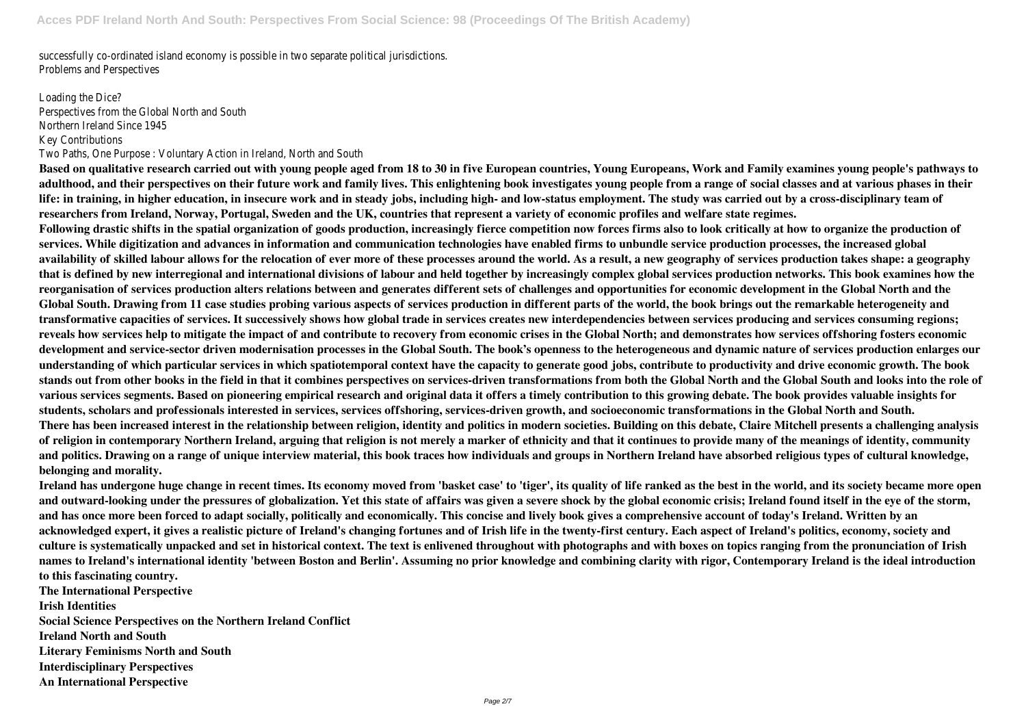successfully co-ordinated island economy is possible in two separate political jurisdictions. Problems and Perspectives

Loading the Dice? Perspectives from the Global North and South Northern Ireland Since 1945 Key Contributions Two Paths, One Purpose : Voluntary Action in Ireland, North and South

**Based on qualitative research carried out with young people aged from 18 to 30 in five European countries, Young Europeans, Work and Family examines young people's pathways to adulthood, and their perspectives on their future work and family lives. This enlightening book investigates young people from a range of social classes and at various phases in their life: in training, in higher education, in insecure work and in steady jobs, including high- and low-status employment. The study was carried out by a cross-disciplinary team of researchers from Ireland, Norway, Portugal, Sweden and the UK, countries that represent a variety of economic profiles and welfare state regimes. Following drastic shifts in the spatial organization of goods production, increasingly fierce competition now forces firms also to look critically at how to organize the production of services. While digitization and advances in information and communication technologies have enabled firms to unbundle service production processes, the increased global availability of skilled labour allows for the relocation of ever more of these processes around the world. As a result, a new geography of services production takes shape: a geography that is defined by new interregional and international divisions of labour and held together by increasingly complex global services production networks. This book examines how the reorganisation of services production alters relations between and generates different sets of challenges and opportunities for economic development in the Global North and the Global South. Drawing from 11 case studies probing various aspects of services production in different parts of the world, the book brings out the remarkable heterogeneity and transformative capacities of services. It successively shows how global trade in services creates new interdependencies between services producing and services consuming regions; reveals how services help to mitigate the impact of and contribute to recovery from economic crises in the Global North; and demonstrates how services offshoring fosters economic development and service-sector driven modernisation processes in the Global South. The book's openness to the heterogeneous and dynamic nature of services production enlarges our understanding of which particular services in which spatiotemporal context have the capacity to generate good jobs, contribute to productivity and drive economic growth. The book stands out from other books in the field in that it combines perspectives on services-driven transformations from both the Global North and the Global South and looks into the role of various services segments. Based on pioneering empirical research and original data it offers a timely contribution to this growing debate. The book provides valuable insights for students, scholars and professionals interested in services, services offshoring, services-driven growth, and socioeconomic transformations in the Global North and South. There has been increased interest in the relationship between religion, identity and politics in modern societies. Building on this debate, Claire Mitchell presents a challenging analysis of religion in contemporary Northern Ireland, arguing that religion is not merely a marker of ethnicity and that it continues to provide many of the meanings of identity, community and politics. Drawing on a range of unique interview material, this book traces how individuals and groups in Northern Ireland have absorbed religious types of cultural knowledge, belonging and morality.**

**Ireland has undergone huge change in recent times. Its economy moved from 'basket case' to 'tiger', its quality of life ranked as the best in the world, and its society became more open and outward-looking under the pressures of globalization. Yet this state of affairs was given a severe shock by the global economic crisis; Ireland found itself in the eye of the storm, and has once more been forced to adapt socially, politically and economically. This concise and lively book gives a comprehensive account of today's Ireland. Written by an acknowledged expert, it gives a realistic picture of Ireland's changing fortunes and of Irish life in the twenty-first century. Each aspect of Ireland's politics, economy, society and culture is systematically unpacked and set in historical context. The text is enlivened throughout with photographs and with boxes on topics ranging from the pronunciation of Irish names to Ireland's international identity 'between Boston and Berlin'. Assuming no prior knowledge and combining clarity with rigor, Contemporary Ireland is the ideal introduction to this fascinating country.**

**The International Perspective Irish Identities Social Science Perspectives on the Northern Ireland Conflict Ireland North and South Literary Feminisms North and South Interdisciplinary Perspectives An International Perspective**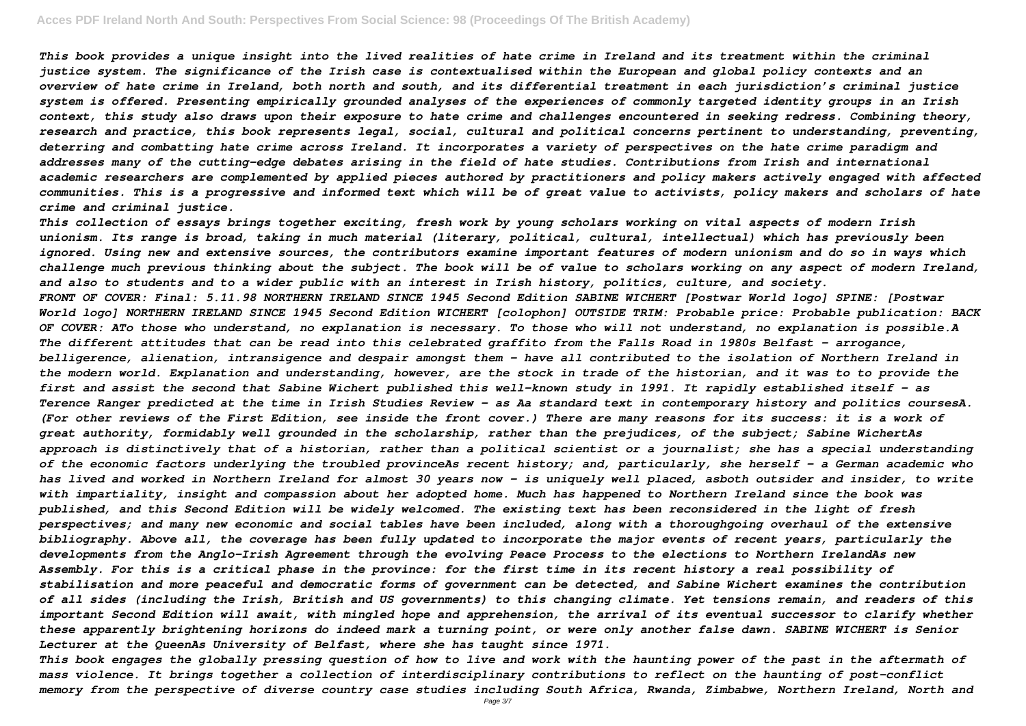*This book provides a unique insight into the lived realities of hate crime in Ireland and its treatment within the criminal*

*justice system. The significance of the Irish case is contextualised within the European and global policy contexts and an overview of hate crime in Ireland, both north and south, and its differential treatment in each jurisdiction's criminal justice system is offered. Presenting empirically grounded analyses of the experiences of commonly targeted identity groups in an Irish context, this study also draws upon their exposure to hate crime and challenges encountered in seeking redress. Combining theory, research and practice, this book represents legal, social, cultural and political concerns pertinent to understanding, preventing, deterring and combatting hate crime across Ireland. It incorporates a variety of perspectives on the hate crime paradigm and addresses many of the cutting-edge debates arising in the field of hate studies. Contributions from Irish and international academic researchers are complemented by applied pieces authored by practitioners and policy makers actively engaged with affected communities. This is a progressive and informed text which will be of great value to activists, policy makers and scholars of hate crime and criminal justice. This collection of essays brings together exciting, fresh work by young scholars working on vital aspects of modern Irish unionism. Its range is broad, taking in much material (literary, political, cultural, intellectual) which has previously been ignored. Using new and extensive sources, the contributors examine important features of modern unionism and do so in ways which challenge much previous thinking about the subject. The book will be of value to scholars working on any aspect of modern Ireland, and also to students and to a wider public with an interest in Irish history, politics, culture, and society. FRONT OF COVER: Final: 5.11.98 NORTHERN IRELAND SINCE 1945 Second Edition SABINE WICHERT [Postwar World logo] SPINE: [Postwar World logo] NORTHERN IRELAND SINCE 1945 Second Edition WICHERT [colophon] OUTSIDE TRIM: Probable price: Probable publication: BACK OF COVER: ATo those who understand, no explanation is necessary. To those who will not understand, no explanation is possible.A The different attitudes that can be read into this celebrated graffito from the Falls Road in 1980s Belfast - arrogance, belligerence, alienation, intransigence and despair amongst them - have all contributed to the isolation of Northern Ireland in the modern world. Explanation and understanding, however, are the stock in trade of the historian, and it was to to provide the first and assist the second that Sabine Wichert published this well-known study in 1991. It rapidly established itself - as Terence Ranger predicted at the time in Irish Studies Review - as Aa standard text in contemporary history and politics coursesA. (For other reviews of the First Edition, see inside the front cover.) There are many reasons for its success: it is a work of great authority, formidably well grounded in the scholarship, rather than the prejudices, of the subject; Sabine WichertAs approach is distinctively that of a historian, rather than a political scientist or a journalist; she has a special understanding of the economic factors underlying the troubled provinceAs recent history; and, particularly, she herself - a German academic who has lived and worked in Northern Ireland for almost 30 years now - is uniquely well placed, asboth outsider and insider, to write with impartiality, insight and compassion about her adopted home. Much has happened to Northern Ireland since the book was published, and this Second Edition will be widely welcomed. The existing text has been reconsidered in the light of fresh perspectives; and many new economic and social tables have been included, along with a thoroughgoing overhaul of the extensive bibliography. Above all, the coverage has been fully updated to incorporate the major events of recent years, particularly the developments from the Anglo-Irish Agreement through the evolving Peace Process to the elections to Northern IrelandAs new Assembly. For this is a critical phase in the province: for the first time in its recent history a real possibility of stabilisation and more peaceful and democratic forms of government can be detected, and Sabine Wichert examines the contribution of all sides (including the Irish, British and US governments) to this changing climate. Yet tensions remain, and readers of this important Second Edition will await, with mingled hope and apprehension, the arrival of its eventual successor to clarify whether these apparently brightening horizons do indeed mark a turning point, or were only another false dawn. SABINE WICHERT is Senior Lecturer at the QueenAs University of Belfast, where she has taught since 1971.*

*This book engages the globally pressing question of how to live and work with the haunting power of the past in the aftermath of mass violence. It brings together a collection of interdisciplinary contributions to reflect on the haunting of post-conflict memory from the perspective of diverse country case studies including South Africa, Rwanda, Zimbabwe, Northern Ireland, North and*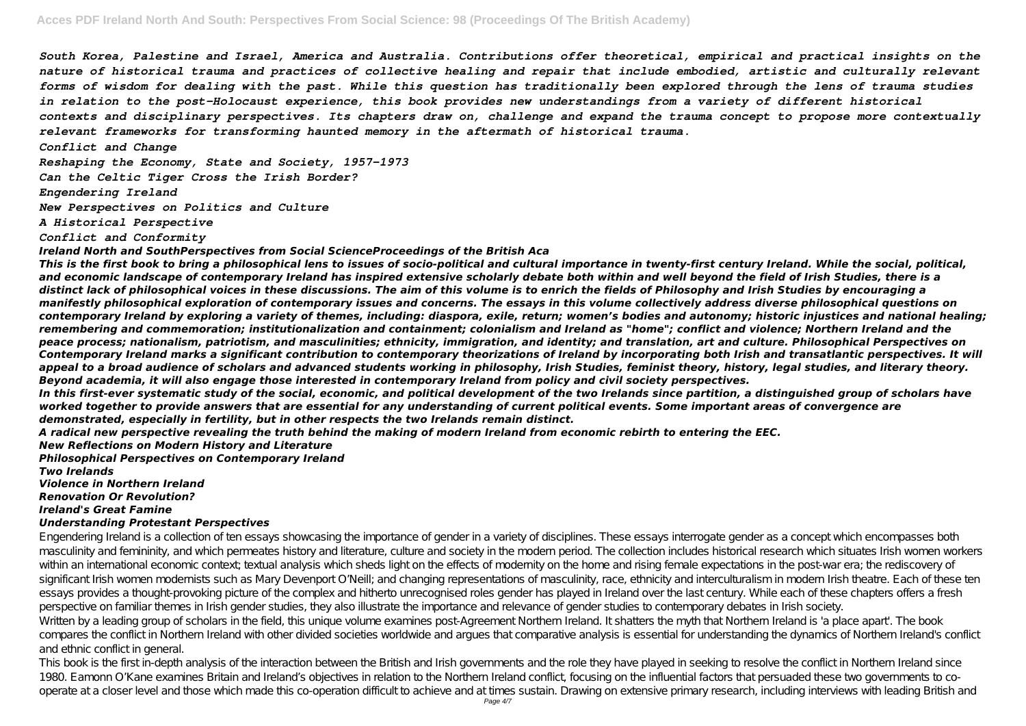*South Korea, Palestine and Israel, America and Australia. Contributions offer theoretical, empirical and practical insights on the nature of historical trauma and practices of collective healing and repair that include embodied, artistic and culturally relevant forms of wisdom for dealing with the past. While this question has traditionally been explored through the lens of trauma studies in relation to the post-Holocaust experience, this book provides new understandings from a variety of different historical contexts and disciplinary perspectives. Its chapters draw on, challenge and expand the trauma concept to propose more contextually relevant frameworks for transforming haunted memory in the aftermath of historical trauma.*

*Conflict and Change*

*Reshaping the Economy, State and Society, 1957–1973*

*Can the Celtic Tiger Cross the Irish Border?*

*Engendering Ireland*

*New Perspectives on Politics and Culture*

*A Historical Perspective*

*Conflict and Conformity*

*Ireland North and SouthPerspectives from Social ScienceProceedings of the British Aca*

*This is the first book to bring a philosophical lens to issues of socio-political and cultural importance in twenty-first century Ireland. While the social, political, and economic landscape of contemporary Ireland has inspired extensive scholarly debate both within and well beyond the field of Irish Studies, there is a distinct lack of philosophical voices in these discussions. The aim of this volume is to enrich the fields of Philosophy and Irish Studies by encouraging a manifestly philosophical exploration of contemporary issues and concerns. The essays in this volume collectively address diverse philosophical questions on contemporary Ireland by exploring a variety of themes, including: diaspora, exile, return; women's bodies and autonomy; historic injustices and national healing; remembering and commemoration; institutionalization and containment; colonialism and Ireland as "home"; conflict and violence; Northern Ireland and the peace process; nationalism, patriotism, and masculinities; ethnicity, immigration, and identity; and translation, art and culture. Philosophical Perspectives on Contemporary Ireland marks a significant contribution to contemporary theorizations of Ireland by incorporating both Irish and transatlantic perspectives. It will appeal to a broad audience of scholars and advanced students working in philosophy, Irish Studies, feminist theory, history, legal studies, and literary theory. Beyond academia, it will also engage those interested in contemporary Ireland from policy and civil society perspectives.*

This book is the first in-depth analysis of the interaction between the British and Irish governments and the role they have played in seeking to resolve the conflict in Northern Ireland since 1980. Eamonn O'Kane examines Britain and Ireland's objectives in relation to the Northern Ireland conflict, focusing on the influential factors that persuaded these two governments to cooperate at a closer level and those which made this co-operation difficult to achieve and at times sustain. Drawing on extensive primary research, including interviews with leading British and

*In this first-ever systematic study of the social, economic, and political development of the two Irelands since partition, a distinguished group of scholars have worked together to provide answers that are essential for any understanding of current political events. Some important areas of convergence are demonstrated, especially in fertility, but in other respects the two Irelands remain distinct.*

*A radical new perspective revealing the truth behind the making of modern Ireland from economic rebirth to entering the EEC. New Reflections on Modern History and Literature*

*Philosophical Perspectives on Contemporary Ireland*

*Two Irelands*

*Violence in Northern Ireland Renovation Or Revolution? Ireland's Great Famine*

### *Understanding Protestant Perspectives*

Engendering Ireland is a collection of ten essays showcasing the importance of gender in a variety of disciplines. These essays interrogate gender as a concept which encompasses both masculinity and femininity, and which permeates history and literature, culture and society in the modern period. The collection includes historical research which situates Irish women workers within an international economic context textual analysis which sheds light on the effects of modernity on the home and rising female expectations in the post-war era; the rediscovery of significant Irish women modernists such as Mary Devenport O'Neill; and changing representations of masculinity, race, ethnicity and interculturalism in modern Irish theatre. Each of these ten essays provides a thought-provoking picture of the complex and hitherto unrecognised roles gender has played in Ireland over the last century. While each of these chapters offers a fresh perspective on familiar themes in Irish gender studies, they also illustrate the importance and relevance of gender studies to contemporary debates in Irish society. Written by a leading group of scholars in the field, this unique volume examines post-Agreement Northern Ireland. It shatters the myth that Northern Ireland is 'a place apart'. The book compares the conflict in Northern Ireland with other divided societies worldwide and argues that comparative analysis is essential for understanding the dynamics of Northern Ireland's conflict and ethnic conflict in general.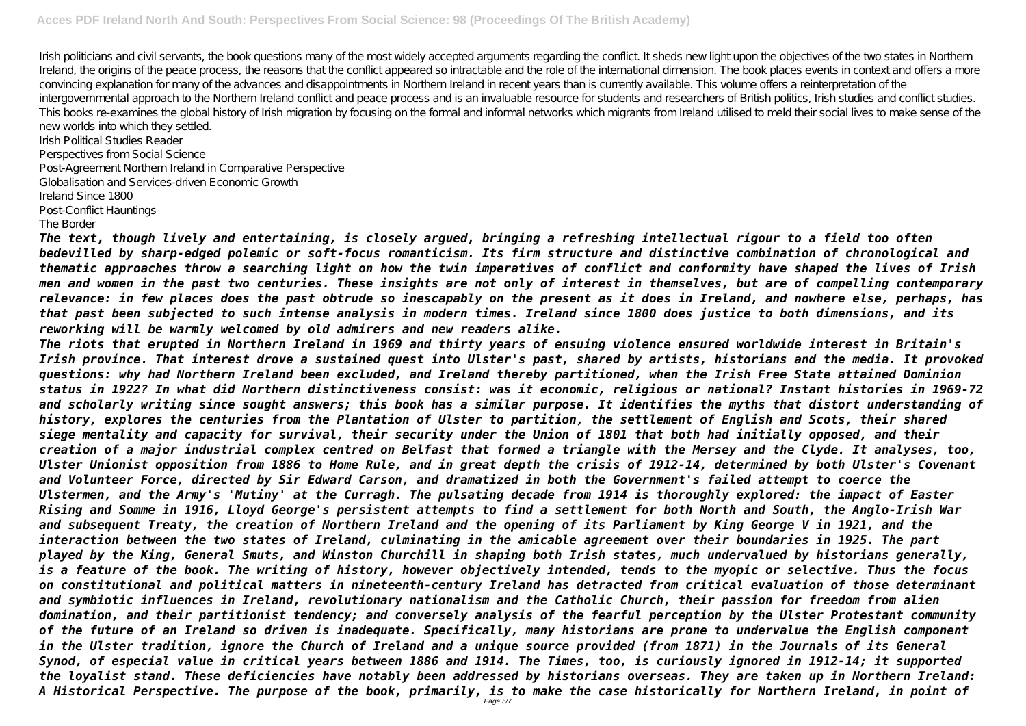Irish politicians and civil servants, the book questions many of the most widely accepted arguments regarding the conflict. It sheds new light upon the objectives of the two states in Northern Ireland, the origins of the peace process, the reasons that the conflict appeared so intractable and the role of the international dimension. The book places events in context and offers a more convincing explanation for many of the advances and disappointments in Northern Ireland in recent years than is currently available. This volume offers a reinterpretation of the intergovernmental approach to the Northern Ireland conflict and peace process and is an invaluable resource for students and researchers of British politics, Irish studies and conflict studies. This books re-examines the global history of Irish migration by focusing on the formal and informal networks which migrants from Ireland utilised to meld their social lives to make sense of the new worlds into which they settled.

Irish Political Studies Reader Perspectives from Social Science Post-Agreement Northern Ireland in Comparative Perspective Globalisation and Services-driven Economic Growth Ireland Since 1800 Post-Conflict Hauntings

### The Border

*The text, though lively and entertaining, is closely argued, bringing a refreshing intellectual rigour to a field too often bedevilled by sharp-edged polemic or soft-focus romanticism. Its firm structure and distinctive combination of chronological and thematic approaches throw a searching light on how the twin imperatives of conflict and conformity have shaped the lives of Irish men and women in the past two centuries. These insights are not only of interest in themselves, but are of compelling contemporary relevance: in few places does the past obtrude so inescapably on the present as it does in Ireland, and nowhere else, perhaps, has that past been subjected to such intense analysis in modern times. Ireland since 1800 does justice to both dimensions, and its reworking will be warmly welcomed by old admirers and new readers alike.*

*The riots that erupted in Northern Ireland in 1969 and thirty years of ensuing violence ensured worldwide interest in Britain's Irish province. That interest drove a sustained quest into Ulster's past, shared by artists, historians and the media. It provoked questions: why had Northern Ireland been excluded, and Ireland thereby partitioned, when the Irish Free State attained Dominion status in 1922? In what did Northern distinctiveness consist: was it economic, religious or national? Instant histories in 1969-72 and scholarly writing since sought answers; this book has a similar purpose. It identifies the myths that distort understanding of history, explores the centuries from the Plantation of Ulster to partition, the settlement of English and Scots, their shared siege mentality and capacity for survival, their security under the Union of 1801 that both had initially opposed, and their creation of a major industrial complex centred on Belfast that formed a triangle with the Mersey and the Clyde. It analyses, too, Ulster Unionist opposition from 1886 to Home Rule, and in great depth the crisis of 1912-14, determined by both Ulster's Covenant and Volunteer Force, directed by Sir Edward Carson, and dramatized in both the Government's failed attempt to coerce the Ulstermen, and the Army's 'Mutiny' at the Curragh. The pulsating decade from 1914 is thoroughly explored: the impact of Easter Rising and Somme in 1916, Lloyd George's persistent attempts to find a settlement for both North and South, the Anglo-Irish War and subsequent Treaty, the creation of Northern Ireland and the opening of its Parliament by King George V in 1921, and the interaction between the two states of Ireland, culminating in the amicable agreement over their boundaries in 1925. The part played by the King, General Smuts, and Winston Churchill in shaping both Irish states, much undervalued by historians generally, is a feature of the book. The writing of history, however objectively intended, tends to the myopic or selective. Thus the focus on constitutional and political matters in nineteenth-century Ireland has detracted from critical evaluation of those determinant and symbiotic influences in Ireland, revolutionary nationalism and the Catholic Church, their passion for freedom from alien domination, and their partitionist tendency; and conversely analysis of the fearful perception by the Ulster Protestant community of the future of an Ireland so driven is inadequate. Specifically, many historians are prone to undervalue the English component in the Ulster tradition, ignore the Church of Ireland and a unique source provided (from 1871) in the Journals of its General Synod, of especial value in critical years between 1886 and 1914. The Times, too, is curiously ignored in 1912-14; it supported the loyalist stand. These deficiencies have notably been addressed by historians overseas. They are taken up in Northern Ireland: A Historical Perspective. The purpose of the book, primarily, is to make the case historically for Northern Ireland, in point of* Page 5/7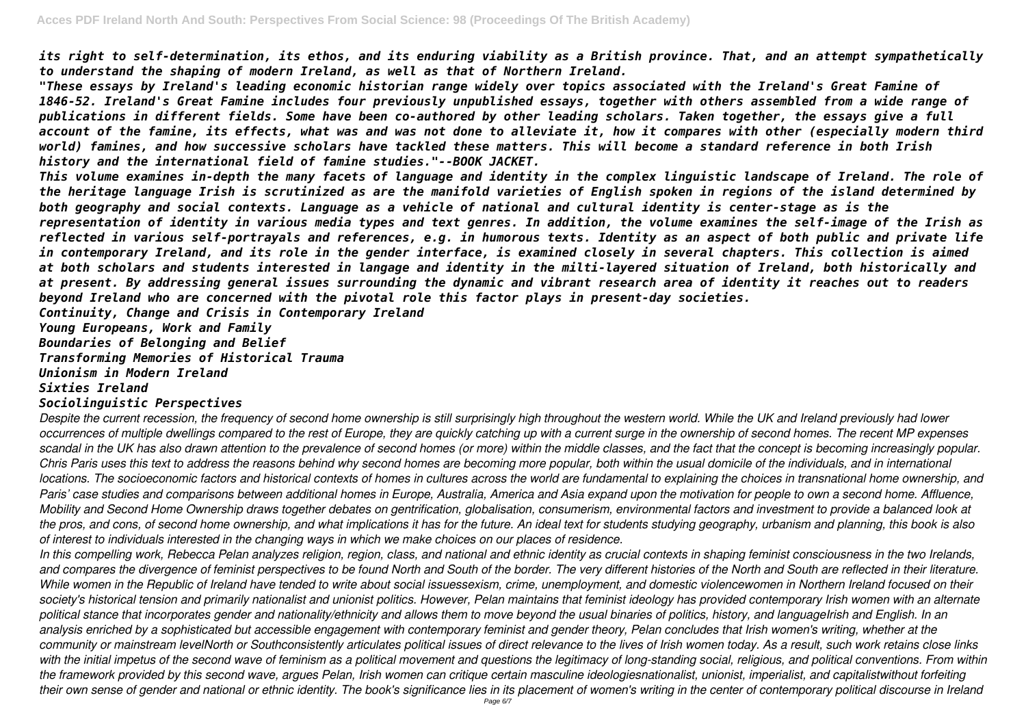*its right to self-determination, its ethos, and its enduring viability as a British province. That, and an attempt sympathetically to understand the shaping of modern Ireland, as well as that of Northern Ireland.*

*"These essays by Ireland's leading economic historian range widely over topics associated with the Ireland's Great Famine of 1846-52. Ireland's Great Famine includes four previously unpublished essays, together with others assembled from a wide range of publications in different fields. Some have been co-authored by other leading scholars. Taken together, the essays give a full account of the famine, its effects, what was and was not done to alleviate it, how it compares with other (especially modern third world) famines, and how successive scholars have tackled these matters. This will become a standard reference in both Irish history and the international field of famine studies."--BOOK JACKET.*

*This volume examines in-depth the many facets of language and identity in the complex linguistic landscape of Ireland. The role of the heritage language Irish is scrutinized as are the manifold varieties of English spoken in regions of the island determined by both geography and social contexts. Language as a vehicle of national and cultural identity is center-stage as is the representation of identity in various media types and text genres. In addition, the volume examines the self-image of the Irish as reflected in various self-portrayals and references, e.g. in humorous texts. Identity as an aspect of both public and private life in contemporary Ireland, and its role in the gender interface, is examined closely in several chapters. This collection is aimed at both scholars and students interested in langage and identity in the milti-layered situation of Ireland, both historically and at present. By addressing general issues surrounding the dynamic and vibrant research area of identity it reaches out to readers beyond Ireland who are concerned with the pivotal role this factor plays in present-day societies. Continuity, Change and Crisis in Contemporary Ireland*

*Young Europeans, Work and Family*

*Boundaries of Belonging and Belief*

*Transforming Memories of Historical Trauma*

*Unionism in Modern Ireland*

# *Sixties Ireland*

# *Sociolinguistic Perspectives*

*Despite the current recession, the frequency of second home ownership is still surprisingly high throughout the western world. While the UK and Ireland previously had lower occurrences of multiple dwellings compared to the rest of Europe, they are quickly catching up with a current surge in the ownership of second homes. The recent MP expenses scandal in the UK has also drawn attention to the prevalence of second homes (or more) within the middle classes, and the fact that the concept is becoming increasingly popular. Chris Paris uses this text to address the reasons behind why second homes are becoming more popular, both within the usual domicile of the individuals, and in international locations. The socioeconomic factors and historical contexts of homes in cultures across the world are fundamental to explaining the choices in transnational home ownership, and Paris' case studies and comparisons between additional homes in Europe, Australia, America and Asia expand upon the motivation for people to own a second home. Affluence, Mobility and Second Home Ownership draws together debates on gentrification, globalisation, consumerism, environmental factors and investment to provide a balanced look at the pros, and cons, of second home ownership, and what implications it has for the future. An ideal text for students studying geography, urbanism and planning, this book is also of interest to individuals interested in the changing ways in which we make choices on our places of residence.*

*In this compelling work, Rebecca Pelan analyzes religion, region, class, and national and ethnic identity as crucial contexts in shaping feminist consciousness in the two Irelands, and compares the divergence of feminist perspectives to be found North and South of the border. The very different histories of the North and South are reflected in their literature. While women in the Republic of Ireland have tended to write about social issuessexism, crime, unemployment, and domestic violencewomen in Northern Ireland focused on their society's historical tension and primarily nationalist and unionist politics. However, Pelan maintains that feminist ideology has provided contemporary Irish women with an alternate political stance that incorporates gender and nationality/ethnicity and allows them to move beyond the usual binaries of politics, history, and languageIrish and English. In an* analysis enriched by a sophisticated but accessible engagement with contemporary feminist and gender theory, Pelan concludes that Irish women's writing, whether at the *community or mainstream levelNorth or Southconsistently articulates political issues of direct relevance to the lives of Irish women today. As a result, such work retains close links* with the initial impetus of the second wave of feminism as a political movement and questions the legitimacy of long-standing social, religious, and political conventions. From within *the framework provided by this second wave, argues Pelan, Irish women can critique certain masculine ideologiesnationalist, unionist, imperialist, and capitalistwithout forfeiting their own sense of gender and national or ethnic identity. The book's significance lies in its placement of women's writing in the center of contemporary political discourse in Ireland*